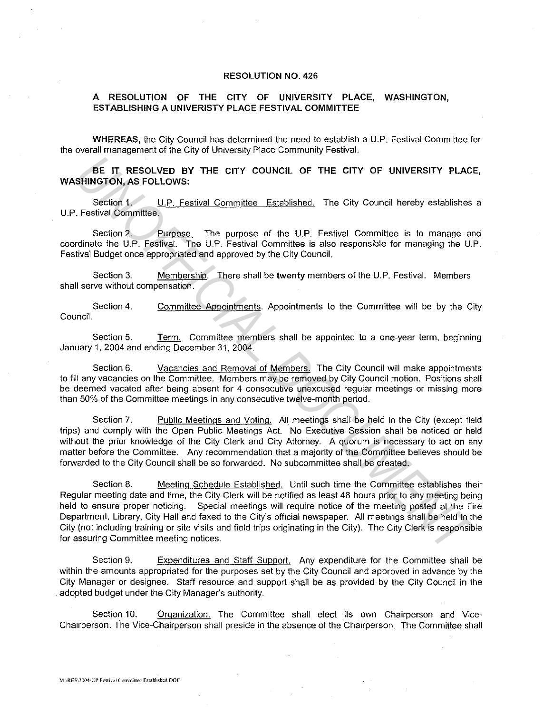## **RESOLUTION NO.** 426

## **A RESOLUTION OF THE CITY OF UNIVERSITY PLACE, WASHINGTON, ESTABLISHING A UNIVERISTY PLACE FESTIVAL COMMITTEE**

**WHEREAS,** the City Council has determined the need to establish a U.P. Festival Committee for the overall management of the City of University Place Community Festival.

**BE IT RESOLVED BY THE CITY COUNCIL OF THE CITY OF UNIVERSITY PLACE, WASHINGTON, AS FOLLOWS:** 

Section 1. U.P. Festival Committee Established. The City Council hereby establishes a U.P. Festival Committee.

Section 2. Purpose. The purpose of the U.P. Festival Committee is to manage and coordinate the U.P. Festival. The U.P. Festival Committee is also responsible for managing the U.P. Festival Budget once appropriated and approved by the City Council.

Section 3. Membership. There shall be **twenty** members of the U.P. Festival. Members shall serve without compensation.

Section 4. Committee Appointments. Appointments to the Committee will be by the City Council.

Section 5. Term. Committee members shall be appointed to a one-year term, beginning January 1, 2004 and ending December 31, 2004.

Section 6. Vacancies and Removal of Members. The City Council will make appointments to fill any vacancies on the Committee. Members may be removed by City Council motion. Positions shall be deemed vacated after being absent for 4 consecutive unexcused regular meetings or missing more than 50% of the Committee meetings in any consecutive twelve-month period.

Section 7. Public Meetings and Voting. All meetings shall be held in the City (except field trips) and comply with the Open Public Meetings Act. No Executive Session shall be noticed or held without the prior knowledge of the City Clerk and City Attorney. A quorum is necessary to act on any matter before the Committee. Any recommendation that a majority of the Committee believes should be forwarded to the City Council shall be so forwarded. No subcommittee shall be created.

Section 8. Meeting Schedule Established. Until such time the Committee establishes their Regular meeting date and time, the City Clerk will be notified as least 48 hours prior to any meeting being held to ensure proper noticing. Special meetings will require notice of the meeting posted at the Fire Department, Library, City Hall and faxed to the City's official newspaper. All meetings shall be held in the City (not including training or site visits and field trips originating in the City). The City Clerk is responsible for assuring Committee meeting notices. **EE IT RESOLVED BY THE CITY COUNCIL OF THE CITY OF UNIVERSITY PLACE<br>
Seriors 1. UP, Festival Committee.** Established. The City Council hereby establishes<br>
Section 1. UP, Festival Committee.<br>
Section 2. Purpose, The purpose

Section 9. Expenditures and Staff Support. Any expenditure for the Committee shall be within the amounts appropriated for the purposes set by the City Council and approved in advance by the City Manager or designee. Staff resource and support shall be as provided by the City Council in the .. adopted budget under the City Manager's authority.

Section 10. Organization. The Committee shall elect its own Chairperson and Vice-Chairperson. The Vice-Chairperson shall preside in the absence of the Chairperson. The Committee shall